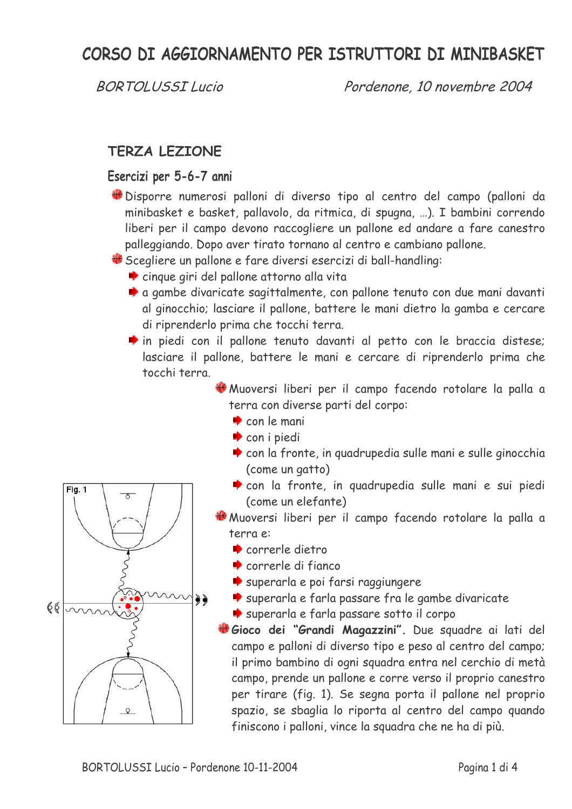# CORSO DI AGGIORNAMENTO PER ISTRUTTORI DI MINIBASKET

**BORTOLUSSILucio** 

Pordenone, 10 novembre 2004

### **TERZA LEZIONE**

#### Esercizi per 5-6-7 anni

Disporre numerosi palloni di diverso tipo al centro del campo (palloni da minibasket e basket, pallavolo, da ritmica, di spugna, ...). I bambini correndo liberi per il campo devono raccogliere un pallone ed andare a fare canestro palleggiando. Dopo aver tirato tornano al centro e cambiano pallone.

Scegliere un pallone e fare diversi esercizi di ball-handling:

- cinque giri del pallone attorno alla vita
- a gambe divaricate sagittalmente, con pallone tenuto con due mani davanti al ginocchio; lasciare il pallone, battere le mani dietro la gamba e cercare di riprenderlo prima che tocchi terra.
- in piedi con il pallone tenuto davanti al petto con le braccia distese; lasciare il pallone, battere le mani e cercare di riprenderlo prima che tocchi terra

Muoversi liberi per il campo facendo rotolare la palla a terra con diverse parti del corpo:

- $\bullet$  con le mani
- $\bullet$  con i piedi
- con la fronte, in quadrupedia sulle mani e sulle ginocchia (come un gatto)
- con la fronte, in quadrupedia sulle mani e sui piedi (come un elefante)
- \*Muoversi liberi per il campo facendo rotolare la palla a terra e:
	- correrle dietro
	- $\bullet$  correrle di fianco
	- superarla e poi farsi raggiungere
	- superarla e farla passare fra le gambe divaricate
	- superarla e farla passare sotto il corpo
- Gioco dei "Grandi Magazzini". Due squadre ai lati del campo e palloni di diverso tipo e peso al centro del campo; il primo bambino di ogni squadra entra nel cerchio di metà campo, prende un pallone e corre verso il proprio canestro per tirare (fig. 1). Se segna porta il pallone nel proprio spazio, se sbaglia lo riporta al centro del campo quando finiscono i palloni, vince la squadra che ne ha di più.

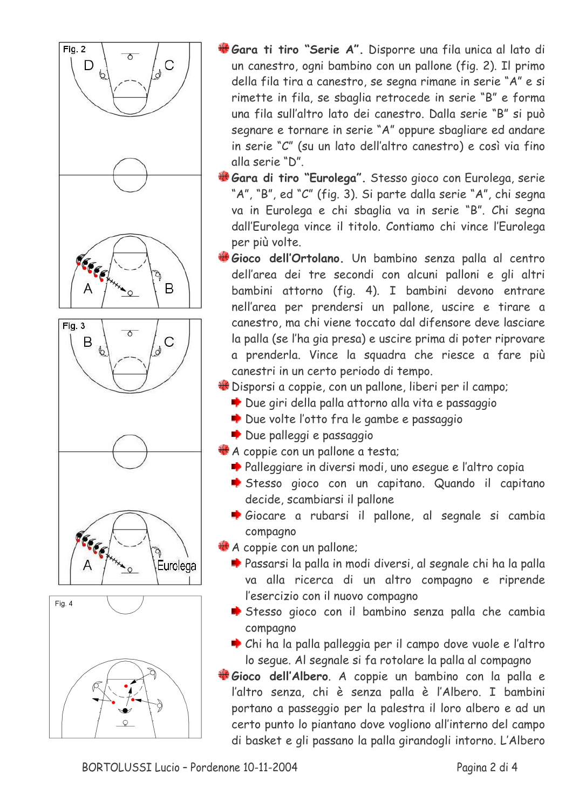

- Gara ti tiro "Serie A". Disporre una fila unica al lato di un canestro, ogni bambino con un pallone (fig. 2). Il primo della fila tira a canestro, se segna rimane in serie "A" e si rimette in fila, se sbaglia retrocede in serie "B" e forma una fila sull'altro lato dei canestro. Dalla serie "B" si può segnare e tornare in serie "A" oppure sbagliare ed andare in serie "C" (su un lato dell'altro canestro) e così via fino alla serie "D".
- #Gara di tiro "Eurolega". Stesso gioco con Eurolega, serie "A", "B", ed "C" (fig. 3). Si parte dalla serie "A", chi segna va in Eurolega e chi sbaglia va in serie "B". Chi segna dall'Eurolega vince il titolo. Contiamo chi vince l'Eurolega per più volte.
- Gioco dell'Ortolano. Un bambino senza palla al centro dell'area dei tre secondi con alcuni palloni e gli altri bambini attorno (fig. 4). I bambini devono entrare nell'area per prendersi un pallone, uscire e tirare a canestro, ma chi viene toccato dal difensore deve lasciare la palla (se l'ha gia presa) e uscire prima di poter riprovare a prenderla. Vince la squadra che riesce a fare più canestri in un certo periodo di tempo.
- Disporsi a coppie, con un pallone, liberi per il campo;
	- Due giri della palla attorno alla vita e passaggio
	- Due volte l'otto fra le gambe e passaggio
	- Due palleggi e passaggio
- A coppie con un pallone a testa;
	- Palleggiare in diversi modi, uno esegue e l'altro copia
	- Stesso gioco con un capitano. Quando il capitano decide, scambiarsi il pallone
	- Giocare a rubarsi il pallone, al segnale si cambia compagno
- A coppie con un pallone;
	- Passarsi la palla in modi diversi, al segnale chi ha la palla va alla ricerca di un altro compagno e riprende l'esercizio con il nuovo compagno
	- Stesso gioco con il bambino senza palla che cambia compagno
	- Chi ha la palla palleggia per il campo dove vuole e l'altro lo segue. Al segnale si fa rotolare la palla al compagno
- Gioco dell'Albero. A coppie un bambino con la palla e l'altro senza, chi è senza palla è l'Albero. I bambini portano a passeggio per la palestra il loro albero e ad un certo punto lo piantano dove vogliono all'interno del campo di basket e gli passano la palla girandogli intorno. L'Albero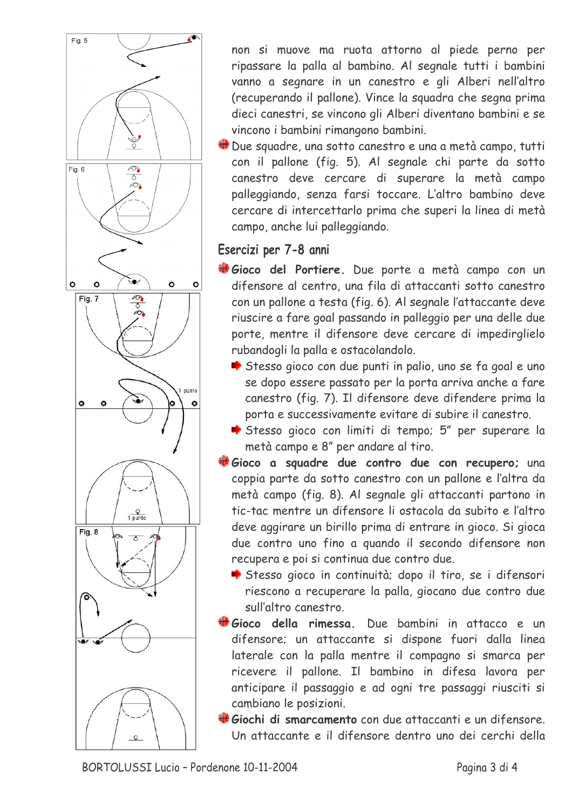

non si muove ma ruota attorno al piede perno per ripassare la palla al bambino. Al segnale tutti i bambini vanno a segnare in un canestro e gli Alberi nell'altro (recuperando il pallone). Vince la squadra che segna prima dieci canestri, se vincono gli Alberi diventano bambini e se vincono i bambini rimangono bambini.

Une squadre, una sotto canestro e una a metà campo, tutti con il pallone (fig. 5). Al segnale chi parte da sotto canestro deve cercare di superare la metà campo palleggiando, senza farsi toccare. L'altro bambino deve cercare di intercettarlo prima che superi la linea di metà campo, anche lui palleggiando.

## Esercizi per 7-8 anni

- Gioco del Portiere. Due porte a metà campo con un difensore al centro, una fila di attaccanti sotto canestro con un pallone a testa (fig. 6). Al segnale l'attaccante deve riuscire a fare goal passando in palleggio per una delle due porte, mentre il difensore deve cercare di impedirglielo rubandogli la palla e ostacolandolo.
	- Stesso gioco con due punti in palio, uno se fa goal e uno se dopo essere passato per la porta arriva anche a fare canestro (fig. 7). Il difensore deve difendere prima la porta e successivamente evitare di subire il canestro.
	- Stesso gioco con limiti di tempo; 5" per superare la metà campo e 8" per andare al tiro.
- Gioco a squadre due contro due con recupero; una coppia parte da sotto canestro con un pallone e l'altra da metà campo (fig. 8). Al segnale gli attaccanti partono in tic-tac mentre un difensore li ostacola da subito e l'altro deve aggirare un birillo prima di entrare in gioco. Si gioca due contro uno fino a quando il secondo difensore non recupera e poi si continua due contro due.
	- Stesso gioco in continuità; dopo il tiro, se i difensori riescono a recuperare la palla, giocano due contro due sull'altro canestro
- Gioco della rimessa. Due bambini in attacco e un difensore; un attaccante si dispone fuori dalla linea laterale con la palla mentre il compagno si smarca per ricevere il pallone. Il bambino in difesa lavora per anticipare il passaggio e ad ogni tre passaggi riusciti si cambiano le posizioni.
- Giochi di smarcamento con due attaccanti e un difensore. Un attaccante e il difensore dentro uno dei cerchi della